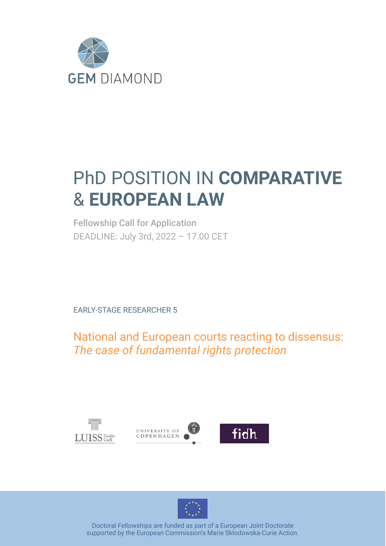

# PhD POSITION IN **COMPARATIVE** & **EUROPEAN LAW**

Fellowship Call for Application DEADLINE: July 3rd, 2022 – 17.00 CET

EARLY-STAGE RESEARCHER 5

National and European courts reacting to dissensus: *The case of fundamental rights protection*









Doctoral Fellowships are funded as part of a European Joint Doctorate supported by the European Commission's Marie Skłodowska-Curie Action.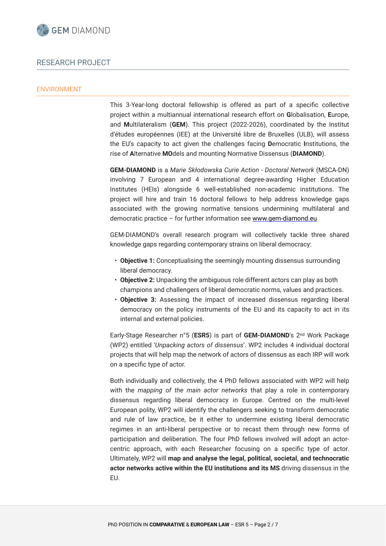

# RESEARCH PROJECT

### ENVIRONMENT

This 3-Year-long doctoral fellowship is offered as part of a specific collective project within a multiannual international research effort on **G**lobalisation, **E**urope, and **M**ultilateralism (**GEM**). This project (2022-2026), coordinated by the Institut d'études européennes (IEE) at the Université libre de Bruxelles (ULB), will assess the EU's capacity to act given the challenges facing **D**emocratic **I**nstitutions, the rise of **A**lternative **MO**dels and mounting Normative Dissensus (**DIAMOND**).

**GEM-DIAMOND** is a *Marie Skłodowska Curie Action - Doctoral Network* (MSCA-DN) involving 7 European and 4 international degree-awarding Higher Education Institutes (HEIs) alongside 6 well-established non-academic institutions. The project will hire and train 16 doctoral fellows to help address knowledge gaps associated with the growing normative tensions undermining multilateral and democratic practice – for further information see [www.gem-diamond.eu](http://www.gem-diamond.eu/).

GEM-DIAMOND's overall research program will collectively tackle three shared knowledge gaps regarding contemporary strains on liberal democracy:

- **Objective 1:** Conceptualising the seemingly mounting dissensus surrounding liberal democracy.
- **Objective 2:** Unpacking the ambiguous role different actors can play as both champions and challengers of liberal democratic norms, values and practices.
- **Objective 3:** Assessing the impact of increased dissensus regarding liberal democracy on the policy instruments of the EU and its capacity to act in its internal and external policies.

Early-Stage Researcher n°5 (**ESR5**) is part of **GEM-DIAMOND**'s 2nd Work Package (WP2) entitled '*Unpacking actors of dissensus*'. WP2 includes 4 individual doctoral projects that will help map the network of actors of dissensus as each IRP will work on a specific type of actor.

Both individually and collectively, the 4 PhD fellows associated with WP2 will help with the *mapping of the main actor networks* that play a role in contemporary dissensus regarding liberal democracy in Europe. Centred on the multi-level European polity, WP2 will identify the challengers seeking to transform democratic and rule of law practice, be it either to undermine existing liberal democratic regimes in an anti-liberal perspective or to recast them through new forms of participation and deliberation. The four PhD fellows involved will adopt an actorcentric approach, with each Researcher focusing on a specific type of actor. Ultimately, WP2 will **map and analyse the legal, political, societal, and technocratic actor networks active within the EU institutions and its MS** driving dissensus in the EU.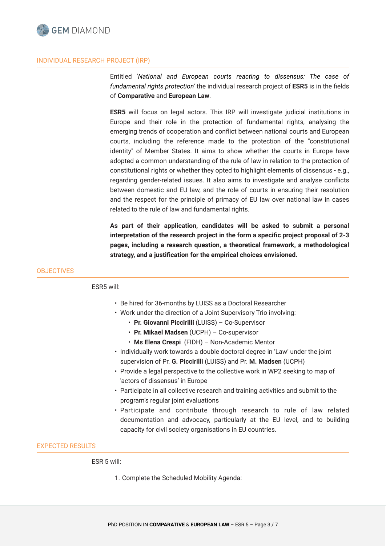

# INDIVIDUAL RESEARCH PROJECT (IRP)

Entitled '*National and European courts reacting to dissensus: The case of fundamental rights protection'* the individual research project of **ESR5** is in the fields of **Comparative** and **European Law**.

**ESR5** will focus on legal actors. This IRP will investigate judicial institutions in Europe and their role in the protection of fundamental rights, analysing the emerging trends of cooperation and conflict between national courts and European courts, including the reference made to the protection of the "constitutional identity" of Member States. It aims to show whether the courts in Europe have adopted a common understanding of the rule of law in relation to the protection of constitutional rights or whether they opted to highlight elements of dissensus - e.g., regarding gender-related issues. It also aims to investigate and analyse conflicts between domestic and EU law, and the role of courts in ensuring their resolution and the respect for the principle of primacy of EU law over national law in cases related to the rule of law and fundamental rights.

**As part of their application, candidates will be asked to submit a personal interpretation of the research project in the form a specific project proposal of 2-3 pages, including a research question, a theoretical framework, a methodological strategy, and a justification for the empirical choices envisioned.**

# **OBJECTIVES**

ESR5 will:

- Be hired for 36-months by LUISS as a Doctoral Researcher
- Work under the direction of a Joint Supervisory Trio involving:
	- **Pr. Giovanni Piccirilli** (LUISS) Co-Supervisor
	- **Pr. Mikael Madsen** (UCPH) Co-supervisor
	- **Ms Elena Crespi** (FIDH) Non-Academic Mentor
- Individually work towards a double doctoral degree in 'Law' under the joint supervision of Pr. **G. Piccirilli** (LUISS) and Pr. **M. Madsen** (UCPH)
- Provide a legal perspective to the collective work in WP2 seeking to map of 'actors of dissensus' in Europe
- Participate in all collective research and training activities and submit to the program's regular joint evaluations
- Participate and contribute through research to rule of law related documentation and advocacy, particularly at the EU level, and to building capacity for civil society organisations in EU countries.

# EXPECTED RESULTS

ESR 5 will:

1. Complete the Scheduled Mobility Agenda: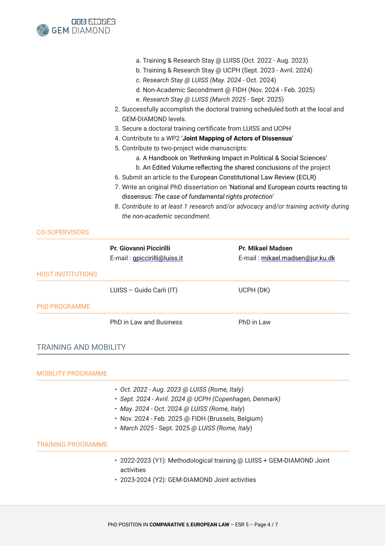

CO-SUPERVISORS

|                              | <b>Pr. Giovanni Piccirilli</b> | <b>Pr. Mikael Madsen</b>        |
|------------------------------|--------------------------------|---------------------------------|
|                              | E-mail: gpiccirilli@luiss.it   | E-mail: mikael.madsen@jur.ku.dk |
| <b>HOST INSTITUTIONS</b>     |                                |                                 |
|                              | LUISS - Guido Carli (IT)       | UCPH (DK)                       |
| <b>PhD PROGRAMME</b>         |                                |                                 |
|                              | PhD in Law and Business        | PhD in Law                      |
|                              |                                |                                 |
| <b>TRAINING AND MOBILITY</b> |                                |                                 |

# MOBILITY PROGRAMME • *Oct. 2022 - Aug. 2023 @ LUISS (Rome, Italy)* • *Sept. 2024 - Avril. 2024 @ UCPH (Copenhagen, Denmark)* • *May. 2024 -* Oct. 2024 *@ LUISS (Rome, Italy*) • Nov. 2024 - Feb. 2025 @ FIDH (Brussels, Belgium) • *March 2025 -* Sept. 2025 *@ LUISS (Rome, Italy*) TRAINING PROGRAMME • 2022-2023 (Y1): Methodological training @ LUISS + GEM-DIAMOND Joint activities

• 2023-2024 (Y2): GEM-DIAMOND Joint activities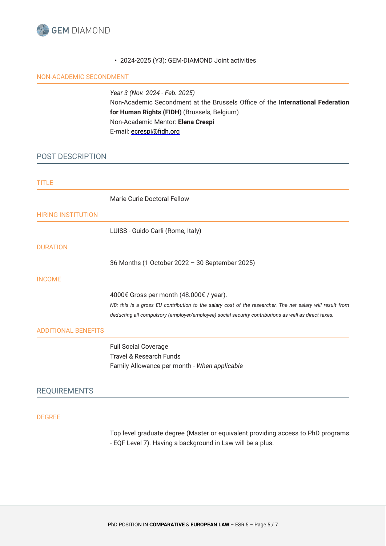

# • 2024-2025 (Y3): GEM-DIAMOND Joint activities

# NON-ACADEMIC SECONDMENT

*Year 3 (Nov. 2024 - Feb. 2025)* Non-Academic Secondment at the Brussels Office of the **International Federation for Human Rights (FIDH)** (Brussels, Belgium) Non-Academic Mentor: **Elena Crespi** E-mail: [ecrespi@fidh.org](mailto:ecrespi@fidh.org)

# POST DESCRIPTION

| <b>TITLE</b>               |                                                                                                                                                                                                                  |
|----------------------------|------------------------------------------------------------------------------------------------------------------------------------------------------------------------------------------------------------------|
|                            | Marie Curie Doctoral Fellow                                                                                                                                                                                      |
| <b>HIRING INSTITUTION</b>  |                                                                                                                                                                                                                  |
|                            | LUISS - Guido Carli (Rome, Italy)                                                                                                                                                                                |
| <b>DURATION</b>            |                                                                                                                                                                                                                  |
|                            | 36 Months (1 October 2022 - 30 September 2025)                                                                                                                                                                   |
| <b>INCOME</b>              |                                                                                                                                                                                                                  |
|                            | 4000€ Gross per month (48.000€ / year).                                                                                                                                                                          |
|                            | NB: this is a gross EU contribution to the salary cost of the researcher. The net salary will result from<br>deducting all compulsory (employer/employee) social security contributions as well as direct taxes. |
| <b>ADDITIONAL BENEFITS</b> |                                                                                                                                                                                                                  |
|                            | <b>Full Social Coverage</b>                                                                                                                                                                                      |
|                            | <b>Travel &amp; Research Funds</b>                                                                                                                                                                               |
|                            | Family Allowance per month - When applicable                                                                                                                                                                     |
| <b>REQUIREMENTS</b>        |                                                                                                                                                                                                                  |
|                            |                                                                                                                                                                                                                  |
| <b>DEGREE</b>              |                                                                                                                                                                                                                  |
|                            | Top level graduate degree (Master or equivalent providing access to PhD programs<br>- EQF Level 7). Having a background in Law will be a plus.                                                                   |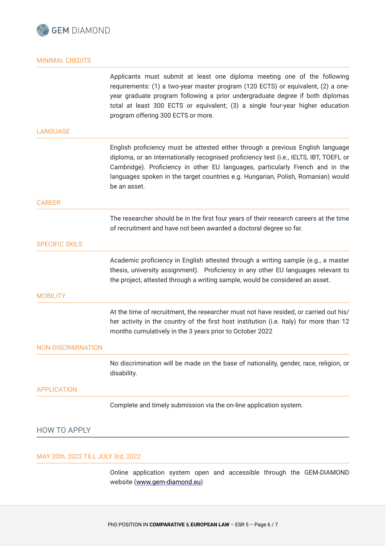

# MINIMAL CREDITS

Applicants must submit at least one diploma meeting one of the following requirements: (1) a two-year master program (120 ECTS) or equivalent, (2) a oneyear graduate program following a prior undergraduate degree if both diplomas total at least 300 ECTS or equivalent; (3) a single four-year higher education program offering 300 ECTS or more.

#### LANGUAGE

English proficiency must be attested either through a previous English language diploma, or an internationally recognised proficiency test (i.e., IELTS, IBT, TOEFL or Cambridge). Proficiency in other EU languages, particularly French and in the languages spoken in the target countries e.g. Hungarian, Polish, Romanian) would be an asset.

#### CAREER

The researcher should be in the first four years of their research careers at the time of recruitment and have not been awarded a doctoral degree so far.

# SPECIFIC SKILS

Academic proficiency in English attested through a writing sample (e.g., a master thesis, university assignment). Proficiency in any other EU languages relevant to the project, attested through a writing sample, would be considered an asset.

#### **MOBILITY**

At the time of recruitment, the researcher must not have resided, or carried out his/ her activity in the country of the first host institution (i.e. Italy) for more than 12 months cumulatively in the 3 years prior to October 2022

#### NON-DISCRIMINATION

No discrimination will be made on the base of nationality, gender, race, religion, or disability.

#### APPLICATION

Complete and timely submission via the on-line application system.

# HOW TO APPLY

# MAY 20th, 2022 TILL JULY 3rd, 2022

Online application system open and accessible through the GEM-DIAMOND website ([www.gem-diamond.eu](http://www.gem-diamond.eu))